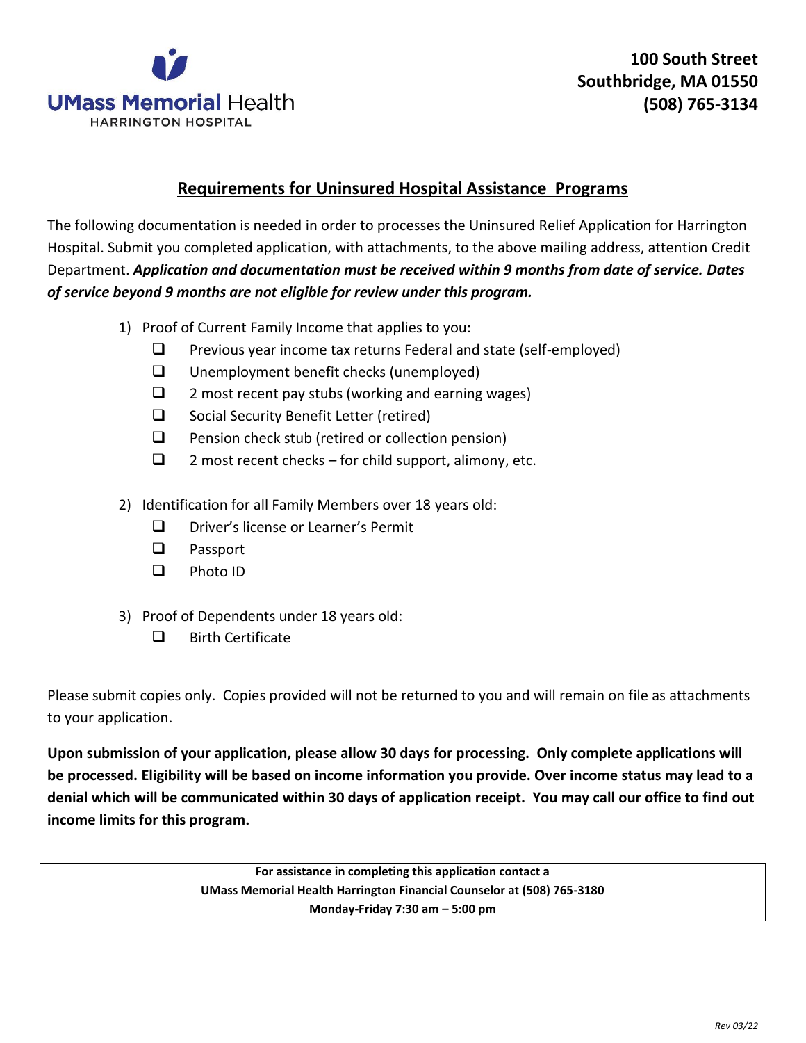

## **Requirements for Uninsured Hospital Assistance Programs**

The following documentation is needed in order to processes the Uninsured Relief Application for Harrington Hospital. Submit you completed application, with attachments, to the above mailing address, attention Credit Department. *Application and documentation must be received within 9 months from date of service. Dates of service beyond 9 months are not eligible for review under this program.*

- 1) Proof of Current Family Income that applies to you:
	- $\Box$  Previous year income tax returns Federal and state (self-employed)
	- $\Box$  Unemployment benefit checks (unemployed)
	- $\Box$  2 most recent pay stubs (working and earning wages)
	- $\Box$  Social Security Benefit Letter (retired)
	- $\Box$  Pension check stub (retired or collection pension)
	- $\Box$  2 most recent checks for child support, alimony, etc.
- 2) Identification for all Family Members over 18 years old:
	- D Driver's license or Learner's Permit
	- **D** Passport
	- **Q** Photo ID
- 3) Proof of Dependents under 18 years old:
	- $\Box$  Birth Certificate

Please submit copies only. Copies provided will not be returned to you and will remain on file as attachments to your application.

**Upon submission of your application, please allow 30 days for processing. Only complete applications will be processed. Eligibility will be based on income information you provide. Over income status may lead to a denial which will be communicated within 30 days of application receipt. You may call our office to find out income limits for this program.**

> **For assistance in completing this application contact a UMass Memorial Health Harrington Financial Counselor at (508) 765-3180 Monday-Friday 7:30 am – 5:00 pm**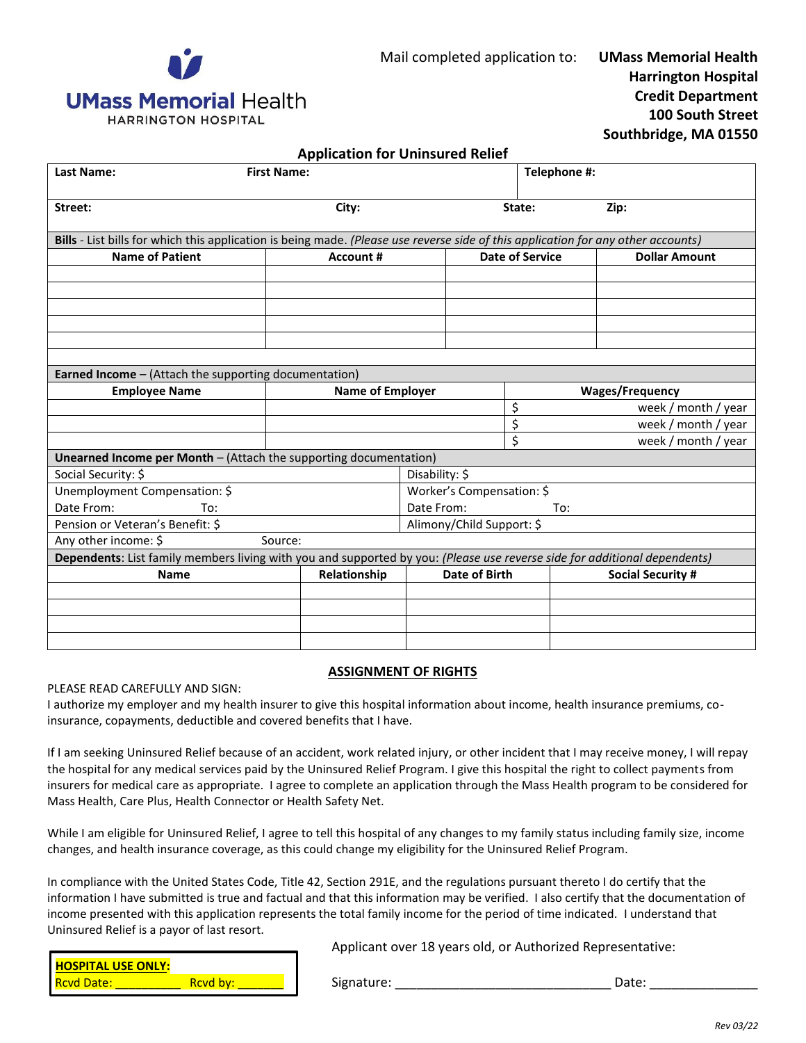

Mail completed application to: **UMass Memorial Health** 

## **Application for Uninsured Relief**

| <b>First Name:</b><br><b>Last Name:</b>                                                                                           |                                  |                         | Telephone #:              |                          |  |
|-----------------------------------------------------------------------------------------------------------------------------------|----------------------------------|-------------------------|---------------------------|--------------------------|--|
| Street:                                                                                                                           | City:                            |                         | State:                    | Zip:                     |  |
| Bills - List bills for which this application is being made. (Please use reverse side of this application for any other accounts) |                                  |                         |                           |                          |  |
| <b>Name of Patient</b>                                                                                                            | <b>Account #</b>                 |                         | <b>Date of Service</b>    | <b>Dollar Amount</b>     |  |
|                                                                                                                                   |                                  |                         |                           |                          |  |
|                                                                                                                                   |                                  |                         |                           |                          |  |
|                                                                                                                                   |                                  |                         |                           |                          |  |
|                                                                                                                                   |                                  |                         |                           |                          |  |
|                                                                                                                                   |                                  |                         |                           |                          |  |
| <b>Earned Income</b> - (Attach the supporting documentation)                                                                      |                                  |                         |                           |                          |  |
| <b>Employee Name</b>                                                                                                              |                                  | <b>Name of Employer</b> |                           | <b>Wages/Frequency</b>   |  |
|                                                                                                                                   |                                  |                         | \$                        | week / month / year      |  |
|                                                                                                                                   |                                  |                         | \$                        | week / month / year      |  |
|                                                                                                                                   |                                  |                         | \$                        | week / month / year      |  |
| <b>Unearned Income per Month - (Attach the supporting documentation)</b>                                                          |                                  |                         |                           |                          |  |
| Social Security: \$                                                                                                               |                                  | Disability: \$          |                           |                          |  |
| Unemployment Compensation: \$                                                                                                     |                                  |                         | Worker's Compensation: \$ |                          |  |
| Date From:<br>To:                                                                                                                 |                                  | Date From:<br>To:       |                           |                          |  |
|                                                                                                                                   | Pension or Veteran's Benefit: \$ |                         | Alimony/Child Support: \$ |                          |  |
| Any other income: \$                                                                                                              | Source:                          |                         |                           |                          |  |
| Dependents: List family members living with you and supported by you: (Please use reverse side for additional dependents)         |                                  |                         |                           |                          |  |
| <b>Name</b>                                                                                                                       | Relationship                     | Date of Birth           |                           | <b>Social Security #</b> |  |
|                                                                                                                                   |                                  |                         |                           |                          |  |
|                                                                                                                                   |                                  |                         |                           |                          |  |
|                                                                                                                                   |                                  |                         |                           |                          |  |
|                                                                                                                                   |                                  |                         |                           |                          |  |

## **ASSIGNMENT OF RIGHTS**

## PLEASE READ CAREFULLY AND SIGN:

I authorize my employer and my health insurer to give this hospital information about income, health insurance premiums, coinsurance, copayments, deductible and covered benefits that I have.

If I am seeking Uninsured Relief because of an accident, work related injury, or other incident that I may receive money, I will repay the hospital for any medical services paid by the Uninsured Relief Program. I give this hospital the right to collect payments from insurers for medical care as appropriate. I agree to complete an application through the Mass Health program to be considered for Mass Health, Care Plus, Health Connector or Health Safety Net.

While I am eligible for Uninsured Relief, I agree to tell this hospital of any changes to my family status including family size, income changes, and health insurance coverage, as this could change my eligibility for the Uninsured Relief Program.

In compliance with the United States Code, Title 42, Section 291E, and the regulations pursuant thereto I do certify that the information I have submitted is true and factual and that this information may be verified. I also certify that the documentation of income presented with this application represents the total family income for the period of time indicated. I understand that Uninsured Relief is a payor of last resort.

| <b>HOSPITAL USE ONLY:</b> |          |
|---------------------------|----------|
| <b>Rcyd Date:</b>         | Rcvd by: |

Applicant over 18 years old, or Authorized Representative:

Signature: \_\_\_\_\_\_\_\_\_\_\_\_\_\_\_\_\_\_\_\_\_\_\_\_\_\_\_\_\_\_ Date: \_\_\_\_\_\_\_\_\_\_\_\_\_\_\_